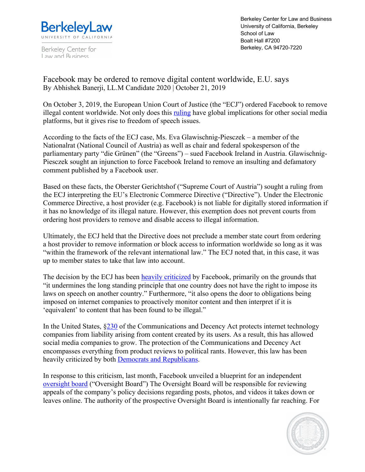

Berkeley Center for Law and Business

Berkeley Center for Law and Business University of California, Berkeley School of Law Boalt Hall #7200 Berkeley, CA 94720-7220

Facebook may be ordered to remove digital content worldwide, E.U. says By Abhishek Banerji, LL.M Candidate 2020 | October 21, 2019

On October 3, 2019, the European Union Court of Justice (the "ECJ") ordered Facebook to remove illegal content worldwide. Not only does this ruling have global implications for other social media platforms, but it gives rise to freedom of speech issues.

According to the facts of the ECJ case, Ms. Eva Glawischnig-Piesczek – a member of the Nationalrat (National Council of Austria) as well as chair and federal spokesperson of the parliamentary party "die Grünen" (the "Greens") – sued Facebook Ireland in Austria. Glawischnig-Piesczek sought an injunction to force Facebook Ireland to remove an insulting and defamatory comment published by a Facebook user.

Based on these facts, the Oberster Gerichtshof ("Supreme Court of Austria") sought a ruling from the ECJ interpreting the EU's Electronic Commerce Directive ("Directive"). Under the Electronic Commerce Directive, a host provider (e.g. Facebook) is not liable for digitally stored information if it has no knowledge of its illegal nature. However, this exemption does not prevent courts from ordering host providers to remove and disable access to illegal information.

Ultimately, the ECJ held that the Directive does not preclude a member state court from ordering a host provider to remove information or block access to information worldwide so long as it was "within the framework of the relevant international law." The ECJ noted that, in this case, it was up to member states to take that law into account.

The decision by the ECJ has been heavily criticized by Facebook, primarily on the grounds that "it undermines the long standing principle that one country does not have the right to impose its laws on speech on another country." Furthermore, "it also opens the door to obligations being imposed on internet companies to proactively monitor content and then interpret if it is 'equivalent' to content that has been found to be illegal."

In the United States, §230 of the Communications and Decency Act protects internet technology companies from liability arising from content created by its users. As a result, this has allowed social media companies to grow. The protection of the Communications and Decency Act encompasses everything from product reviews to political rants. However, this law has been heavily criticized by both **Democrats and Republicans**.

In response to this criticism, last month, Facebook unveiled a blueprint for an independent oversight board ("Oversight Board") The Oversight Board will be responsible for reviewing appeals of the company's policy decisions regarding posts, photos, and videos it takes down or leaves online. The authority of the prospective Oversight Board is intentionally far reaching. For